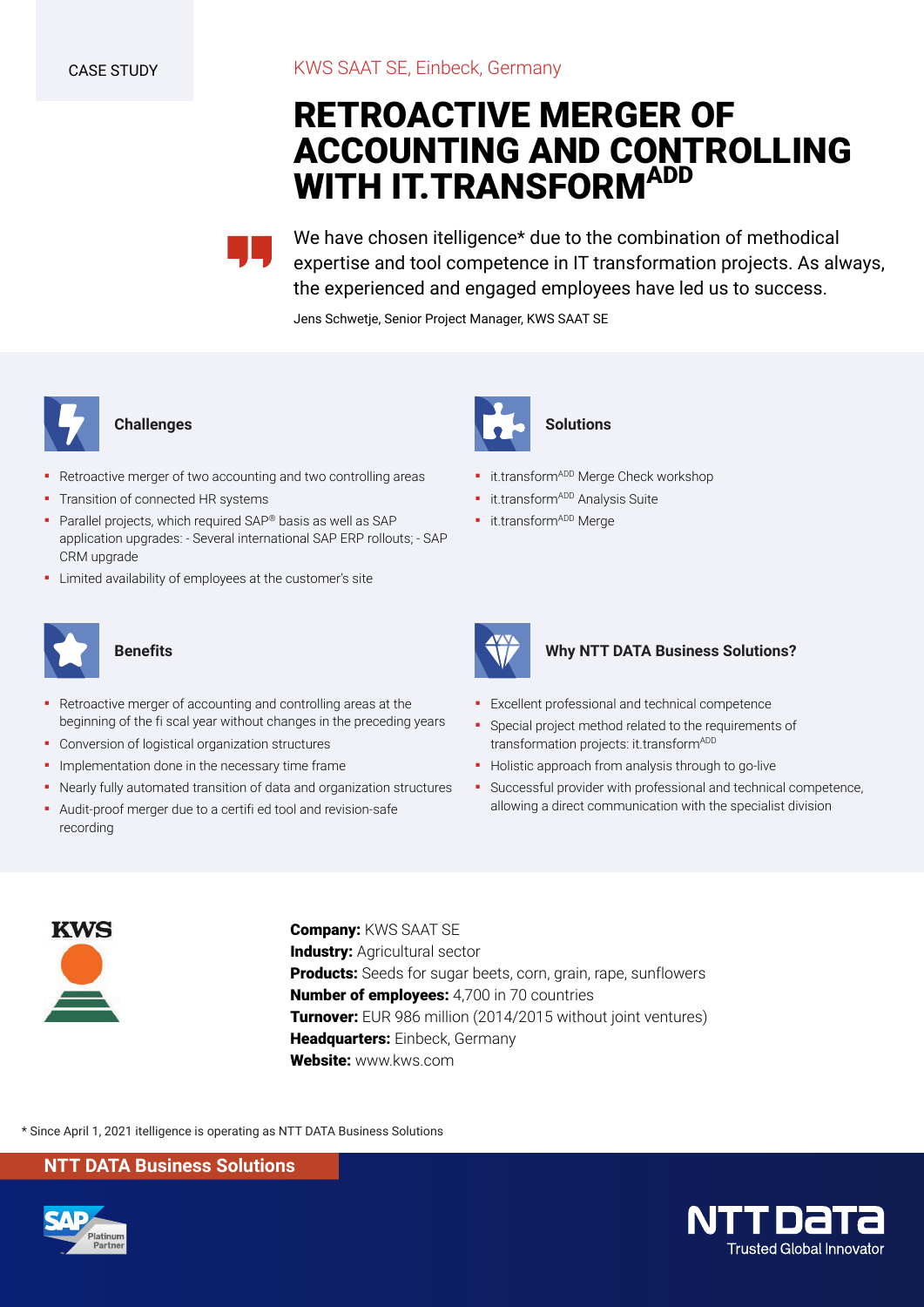# **RETROACTIVE MERGER OF ACCOUNTING AND CONTROLLING WITH IT.TRANSFORMADD**

We have chosen itelligence\* due to the combination of methodical expertise and tool competence in IT transformation projects. As always, the experienced and engaged employees have led us to success.

Jens Schwetje, Senior Project Manager, KWS SAAT SE



## **Challenges**

- Retroactive merger of two accounting and two controlling areas
- **·** Transition of connected HR systems
- Parallel projects, which required SAP® basis as well as SAP application upgrades: - Several international SAP ERP rollouts; - SAP CRM upgrade
- Limited availability of employees at the customer's site



### **Benefits**

- Retroactive merger of accounting and controlling areas at the beginning of the fi scal year without changes in the preceding years
- Conversion of logistical organization structures
- **·** Implementation done in the necessary time frame
- Nearly fully automated transition of data and organization structures
- Audit-proof merger due to a certifi ed tool and revision-safe recording



**·** it.transform<sup>ADD</sup> Merge Check workshop

**Solutions**

- **·** it.transform<sup>ADD</sup> Analysis Suite
- **·** it.transform<sup>ADD</sup> Merge



### **Why NTT DATA Business Solutions?**

- **Excellent professional and technical competence**
- Special project method related to the requirements of transformation projects: it.transform<sup>ADD</sup>
- **•** Holistic approach from analysis through to go-live
- Successful provider with professional and technical competence, allowing a direct communication with the specialist division



**Company:** KWS SAAT SE **Industry: Agricultural sector Products:** Seeds for sugar beets, corn, grain, rape, sunflowers **Number of employees:** 4,700 in 70 countries **Turnover:** EUR 986 million (2014/2015 without joint ventures) **Headquarters:** Einbeck, Germany **Website:** www.kws.com

\* Since April 1, 2021 itelligence is operating as NTT DATA Business Solutions

**NTT DATA Business Solutions**